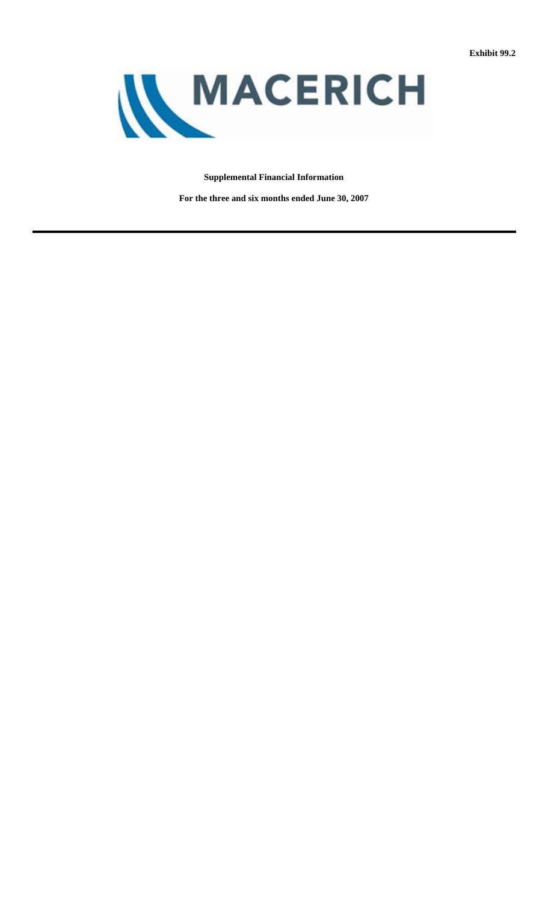

# **Supplemental Financial Information**

**For the three and six months ended June 30, 2007**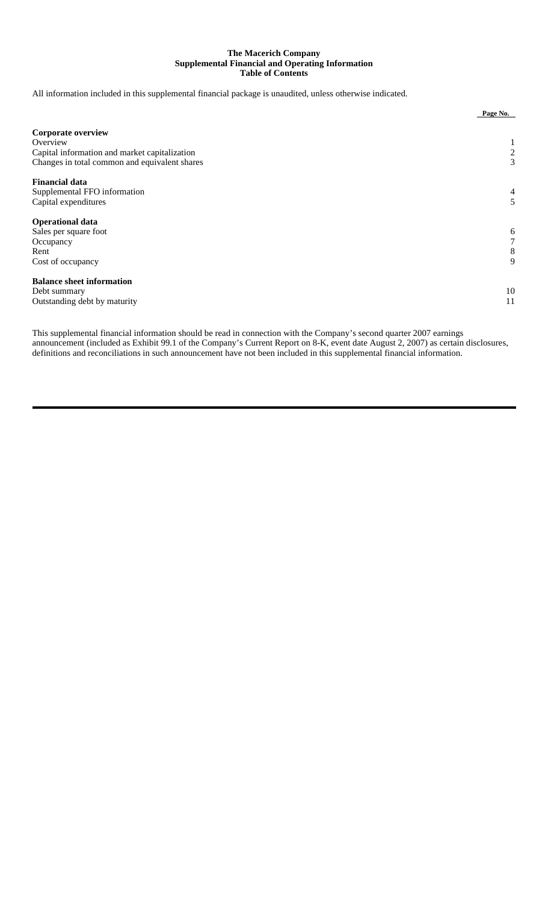## **The Macerich Company Supplemental Financial and Operating Information Table of Contents**

All information included in this supplemental financial package is unaudited, unless otherwise indicated.

|                                               | Page No.       |
|-----------------------------------------------|----------------|
| <b>Corporate overview</b>                     |                |
| Overview                                      | T              |
| Capital information and market capitalization | $\overline{c}$ |
| Changes in total common and equivalent shares | 3              |
| <b>Financial data</b>                         |                |
| Supplemental FFO information                  | 4              |
| Capital expenditures                          | 5              |
| <b>Operational data</b>                       |                |
| Sales per square foot                         | 6              |
| Occupancy                                     | 7              |
| Rent                                          | 8              |
| Cost of occupancy                             | 9              |
| <b>Balance sheet information</b>              |                |
| Debt summary                                  | 10             |
| Outstanding debt by maturity                  | 11             |

This supplemental financial information should be read in connection with the Company's second quarter 2007 earnings announcement (included as Exhibit 99.1 of the Company's Current Report on 8-K, event date August 2, 2007) as certain disclosures, definitions and reconciliations in such announcement have not been included in this supplemental financial information.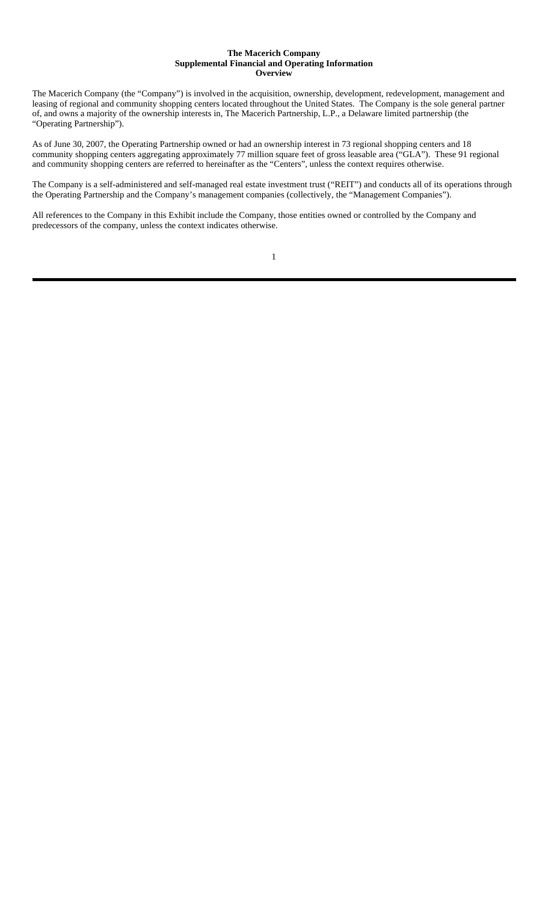### **The Macerich Company Supplemental Financial and Operating Information Overview**

The Macerich Company (the "Company") is involved in the acquisition, ownership, development, redevelopment, management and leasing of regional and community shopping centers located throughout the United States. The Company is the sole general partner of, and owns a majority of the ownership interests in, The Macerich Partnership, L.P., a Delaware limited partnership (the "Operating Partnership").

As of June 30, 2007, the Operating Partnership owned or had an ownership interest in 73 regional shopping centers and 18 community shopping centers aggregating approximately 77 million square feet of gross leasable area ("GLA"). These 91 regional and community shopping centers are referred to hereinafter as the "Centers", unless the context requires otherwise.

The Company is a self-administered and self-managed real estate investment trust ("REIT") and conducts all of its operations through the Operating Partnership and the Company's management companies (collectively, the "Management Companies").

All references to the Company in this Exhibit include the Company, those entities owned or controlled by the Company and predecessors of the company, unless the context indicates otherwise.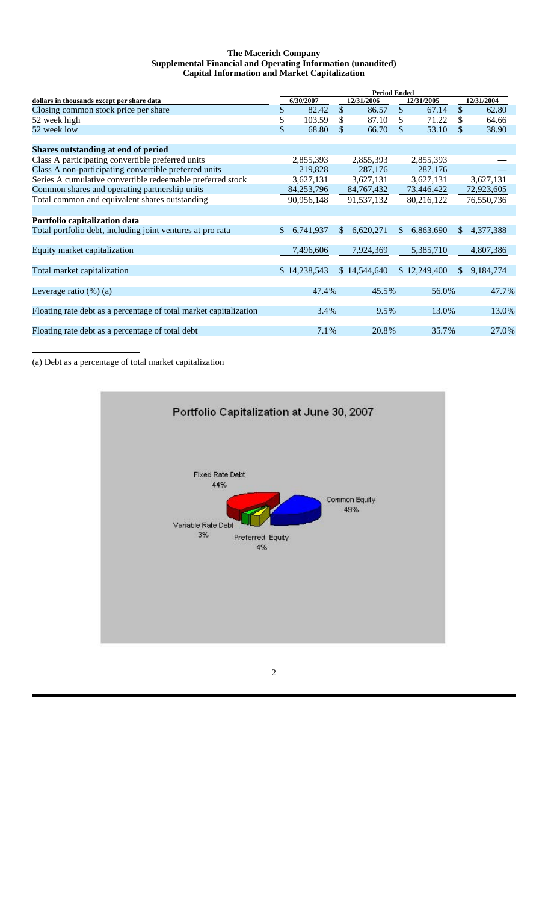## **The Macerich Company Supplemental Financial and Operating Information (unaudited) Capital Information and Market Capitalization**

|     |         |                                                                                                             |                              | <b>Period Ended</b> |                        |              |                         |  |  |
|-----|---------|-------------------------------------------------------------------------------------------------------------|------------------------------|---------------------|------------------------|--------------|-------------------------|--|--|
|     |         |                                                                                                             | 12/31/2006                   |                     | 12/31/2005             |              | 12/31/2004              |  |  |
| \$  | 82.42   | \$                                                                                                          | 86.57                        | $\mathbb{S}$        | 67.14                  | \$           | 62.80                   |  |  |
| \$  | 103.59  | S                                                                                                           | 87.10                        | \$                  | 71.22                  |              | 64.66                   |  |  |
| \$  | 68.80   | \$                                                                                                          | 66.70                        | \$                  | 53.10                  | \$           | 38.90                   |  |  |
|     |         |                                                                                                             |                              |                     |                        |              |                         |  |  |
|     |         |                                                                                                             | 2,855,393                    |                     | 2,855,393              |              |                         |  |  |
|     | 219,828 |                                                                                                             | 287,176                      |                     | 287,176                |              |                         |  |  |
|     |         |                                                                                                             | 3,627,131                    |                     | 3,627,131              |              | 3,627,131               |  |  |
|     |         |                                                                                                             | 84,767,432                   |                     | 73,446,422             |              | 72,923,605              |  |  |
|     |         |                                                                                                             | 91,537,132                   |                     | 80,216,122             |              | 76,550,736              |  |  |
|     |         |                                                                                                             |                              |                     |                        |              |                         |  |  |
|     |         |                                                                                                             |                              |                     |                        |              |                         |  |  |
| \$. |         |                                                                                                             | 6,620,271                    | S.                  | 6,863,690              | \$           | 4,377,388               |  |  |
|     |         |                                                                                                             |                              |                     |                        |              |                         |  |  |
|     |         |                                                                                                             | 7,924,369                    |                     | 5,385,710              |              | 4,807,386               |  |  |
|     |         |                                                                                                             |                              |                     |                        |              |                         |  |  |
|     |         |                                                                                                             |                              |                     |                        | \$.          | 9,184,774               |  |  |
|     |         |                                                                                                             |                              |                     |                        |              |                         |  |  |
|     |         |                                                                                                             |                              |                     |                        |              | 47.7%                   |  |  |
|     |         |                                                                                                             |                              |                     |                        |              |                         |  |  |
|     |         |                                                                                                             |                              |                     |                        |              | 13.0%                   |  |  |
|     |         |                                                                                                             |                              |                     |                        |              |                         |  |  |
|     |         |                                                                                                             |                              |                     |                        |              | 27.0%                   |  |  |
|     |         | 6/30/2007<br>2,855,393<br>3,627,131<br>84, 253, 796<br>90,956,148<br>6,741,937<br>7,496,606<br>\$14,238,543 | \$.<br>47.4%<br>3.4%<br>7.1% | \$14,544,640        | 45.5%<br>9.5%<br>20.8% | \$12,249,400 | 56.0%<br>13.0%<br>35.7% |  |  |

(a) Debt as a percentage of total market capitalization

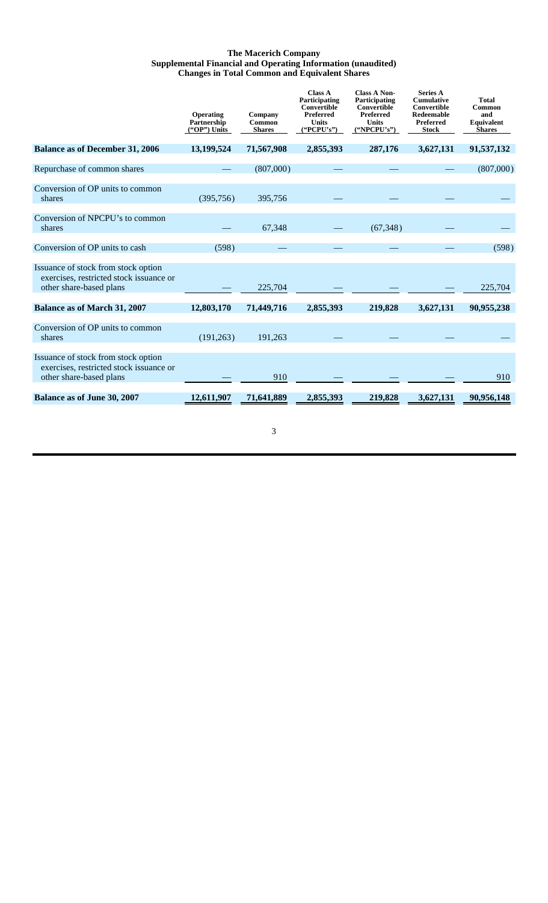## **The Macerich Company Supplemental Financial and Operating Information (unaudited) Changes in Total Common and Equivalent Shares**

|                                                                                                           | Operating<br>Partnership<br>("OP") Units | Company<br>Common<br><b>Shares</b> | <b>Class A</b><br>Participating<br><b>Convertible</b><br>Preferred<br><b>Units</b><br>("PCPU's") | <b>Class A Non-</b><br>Participating<br><b>Convertible</b><br>Preferred<br><b>Units</b><br>("NPCPU's") | <b>Series A</b><br><b>Cumulative</b><br>Convertible<br>Redeemable<br>Preferred<br><b>Stock</b> | <b>Total</b><br>Common<br>and<br>Equivalent<br><b>Shares</b> |
|-----------------------------------------------------------------------------------------------------------|------------------------------------------|------------------------------------|--------------------------------------------------------------------------------------------------|--------------------------------------------------------------------------------------------------------|------------------------------------------------------------------------------------------------|--------------------------------------------------------------|
| <b>Balance as of December 31, 2006</b>                                                                    | 13,199,524                               | 71,567,908                         | 2,855,393                                                                                        | 287,176                                                                                                | 3,627,131                                                                                      | 91,537,132                                                   |
| Repurchase of common shares                                                                               |                                          | (807,000)                          |                                                                                                  |                                                                                                        |                                                                                                | (807,000)                                                    |
| Conversion of OP units to common<br>shares                                                                | (395, 756)                               | 395,756                            |                                                                                                  |                                                                                                        |                                                                                                |                                                              |
| Conversion of NPCPU's to common<br>shares                                                                 |                                          | 67,348                             |                                                                                                  | (67,348)                                                                                               |                                                                                                |                                                              |
| Conversion of OP units to cash                                                                            | (598)                                    |                                    |                                                                                                  |                                                                                                        |                                                                                                | (598)                                                        |
| Issuance of stock from stock option<br>exercises, restricted stock issuance or<br>other share-based plans |                                          | 225,704                            |                                                                                                  |                                                                                                        |                                                                                                | 225,704                                                      |
| <b>Balance as of March 31, 2007</b>                                                                       | 12,803,170                               | 71,449,716                         | 2,855,393                                                                                        | 219,828                                                                                                | 3,627,131                                                                                      | 90,955,238                                                   |
| Conversion of OP units to common<br>shares                                                                | (191, 263)                               | 191,263                            |                                                                                                  |                                                                                                        |                                                                                                |                                                              |
| Issuance of stock from stock option<br>exercises, restricted stock issuance or<br>other share-based plans |                                          | 910                                |                                                                                                  |                                                                                                        |                                                                                                | 910                                                          |
| Balance as of June 30, 2007                                                                               | 12,611,907                               | 71,641,889                         | 2.855,393                                                                                        | 219,828                                                                                                | 3,627,131                                                                                      | 90,956,148                                                   |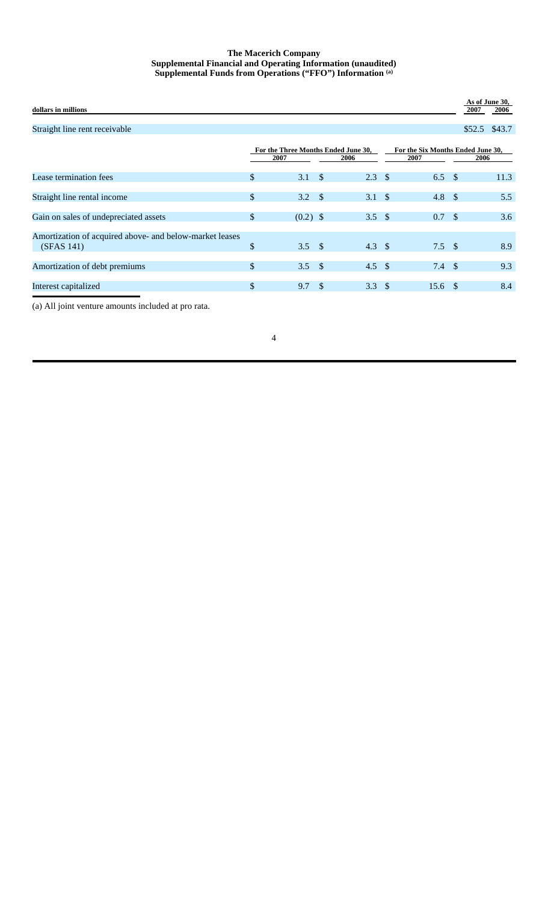## **The Macerich Company Supplemental Financial and Operating Information (unaudited) Supplemental Funds from Operations ("FFO") Information (a)**

| dollars in millions                                                   |               |                |               |                                             |                                           |               | As of June 30,<br>2007 | 2006   |
|-----------------------------------------------------------------------|---------------|----------------|---------------|---------------------------------------------|-------------------------------------------|---------------|------------------------|--------|
| Straight line rent receivable                                         |               |                |               |                                             |                                           |               | \$52.5                 | \$43.7 |
|                                                                       |               | 2007           |               | For the Three Months Ended June 30,<br>2006 | For the Six Months Ended June 30,<br>2007 |               | 2006                   |        |
| Lease termination fees                                                | $\frac{1}{2}$ | 3.1            | - \$          | $2.3 \quad$                                 | 6.5                                       | - \$          |                        | 11.3   |
| Straight line rental income                                           | $\frac{1}{2}$ | $3.2 \quad$    |               | $3.1 \text{ }$ \$                           | 4.8                                       | $\mathcal{S}$ |                        | 5.5    |
| Gain on sales of undepreciated assets                                 | $\mathbb{S}$  | $(0.2)$ \$     |               | 3.5 $\frac{1}{2}$                           | 0.7                                       | - \$          |                        | 3.6    |
| Amortization of acquired above- and below-market leases<br>(SFAS 141) | \$            | 3.5 $\sqrt{ }$ |               | 4.3 $\sqrt$                                 | $7.5 \quad$ \$                            |               |                        | 8.9    |
| Amortization of debt premiums                                         | $\mathcal{S}$ | $3.5 \quad$    |               | 4.5 $\sqrt{ }$                              | 7.4                                       | $\mathcal{S}$ |                        | 9.3    |
| Interest capitalized                                                  | \$            | 9.7            | $\mathcal{S}$ | $3.3 \text{ } $$                            | 15.6                                      | -\$           |                        | 8.4    |

(a) All joint venture amounts included at pro rata.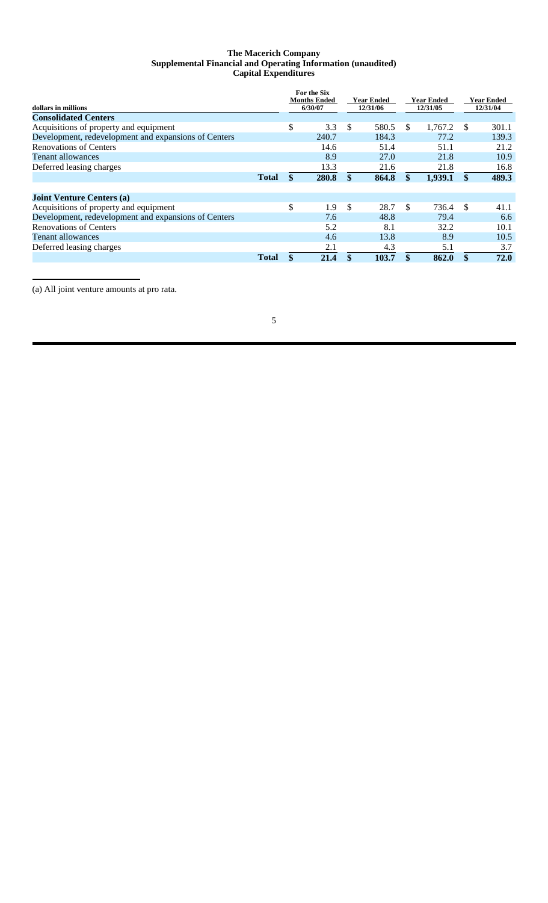## **The Macerich Company Supplemental Financial and Operating Information (unaudited) Capital Expenditures**

|                                                      |              | For the Six         |               |            |     |            |     |            |
|------------------------------------------------------|--------------|---------------------|---------------|------------|-----|------------|-----|------------|
|                                                      |              | <b>Months Ended</b> |               | Year Ended |     | Year Ended |     | Year Ended |
| dollars in millions                                  |              | 6/30/07             |               | 12/31/06   |     | 12/31/05   |     | 12/31/04   |
| <b>Consolidated Centers</b>                          |              |                     |               |            |     |            |     |            |
| Acquisitions of property and equipment               |              | \$<br>3.3           | <sup>\$</sup> | 580.5      | \$. | 1.767.2    | S   | 301.1      |
| Development, redevelopment and expansions of Centers |              | 240.7               |               | 184.3      |     | 77.2       |     | 139.3      |
| <b>Renovations of Centers</b>                        |              | 14.6                |               | 51.4       |     | 51.1       |     | 21.2       |
| <b>Tenant allowances</b>                             |              | 8.9                 |               | 27.0       |     | 21.8       |     | 10.9       |
| Deferred leasing charges                             |              | 13.3                |               | 21.6       |     | 21.8       |     | 16.8       |
|                                                      | <b>Total</b> | \$<br>280.8         |               | 864.8      | \$  | 1,939.1    | \$. | 489.3      |
|                                                      |              |                     |               |            |     |            |     |            |
| <b>Joint Venture Centers (a)</b>                     |              |                     |               |            |     |            |     |            |
| Acquisitions of property and equipment               |              | \$<br>1.9           | \$            | 28.7       | \$  | 736.4      | \$. | 41.1       |
| Development, redevelopment and expansions of Centers |              | 7.6                 |               | 48.8       |     | 79.4       |     | 6.6        |
| <b>Renovations of Centers</b>                        |              | 5.2                 |               | 8.1        |     | 32.2       |     | 10.1       |
| <b>Tenant allowances</b>                             |              | 4.6                 |               | 13.8       |     | 8.9        |     | 10.5       |
| Deferred leasing charges                             |              | 2.1                 |               | 4.3        |     | 5.1        |     | 3.7        |
|                                                      | <b>Total</b> | \$<br>21.4          |               | 103.7      | \$  | 862.0      | \$  | 72.0       |

(a) All joint venture amounts at pro rata.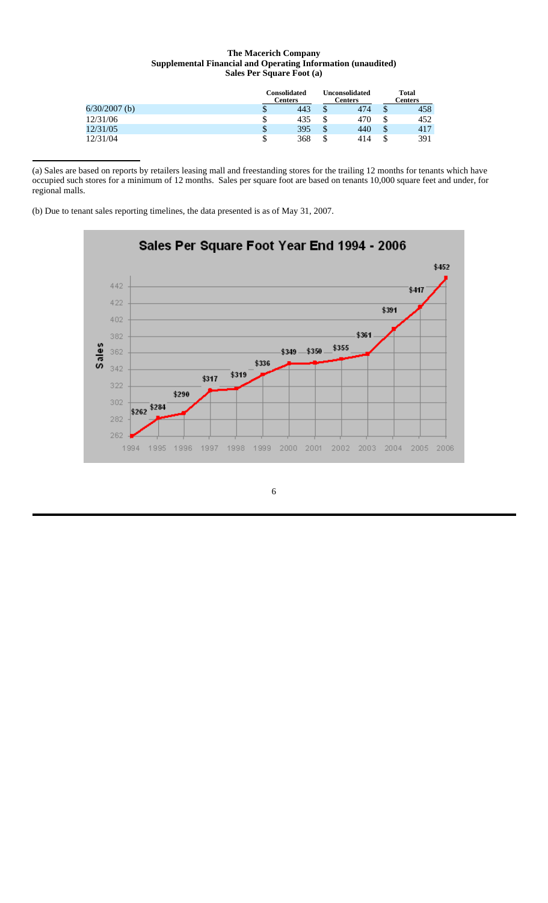## **The Macerich Company Supplemental Financial and Operating Information (unaudited) Sales Per Square Foot (a)**

|                 |    | Consolidated<br><b>Centers</b> |    | <b>Unconsolidated</b><br>Centers | <b>Total</b><br>Centers |     |  |
|-----------------|----|--------------------------------|----|----------------------------------|-------------------------|-----|--|
| $6/30/2007$ (b) | D  | 443                            | ٠D | 474                              | D                       | 458 |  |
| 12/31/06        | \$ | 435                            | ۰D | 470                              | ¢<br>۰D                 | 452 |  |
| 12/31/05        | \$ | 395                            | D  | 440                              | \$                      | 417 |  |
| 12/31/04        | \$ | 368                            | J. | 414                              | S                       | 391 |  |

(a) Sales are based on reports by retailers leasing mall and freestanding stores for the trailing 12 months for tenants which have occupied such stores for a minimum of 12 months. Sales per square foot are based on tenants 10,000 square feet and under, for regional malls.

(b) Due to tenant sales reporting timelines, the data presented is as of May 31, 2007.

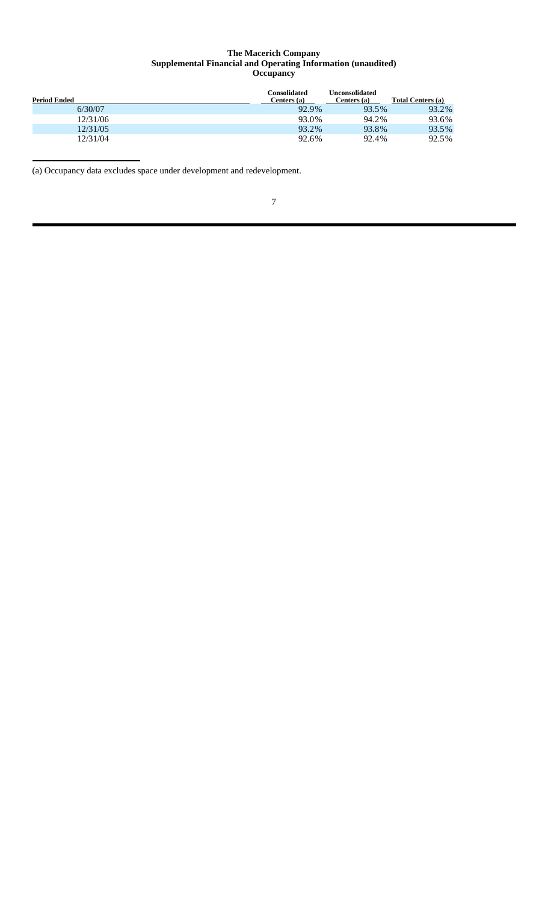### **The Macerich Company Supplemental Financial and Operating Information (unaudited) Occupancy**

| <b>Period Ended</b> | Consolidated<br>Centers (a) | <b>Unconsolidated</b><br>Centers (a) | Total Centers (a) |
|---------------------|-----------------------------|--------------------------------------|-------------------|
| 6/30/07             | 92.9%                       | 93.5%                                | 93.2%             |
| 12/31/06            | 93.0%                       | 94.2%                                | 93.6%             |
| 12/31/05            | 93.2%                       | 93.8%                                | 93.5%             |
| 12/31/04            | 92.6%                       | 92.4%                                | 92.5%             |

(a) Occupancy data excludes space under development and redevelopment.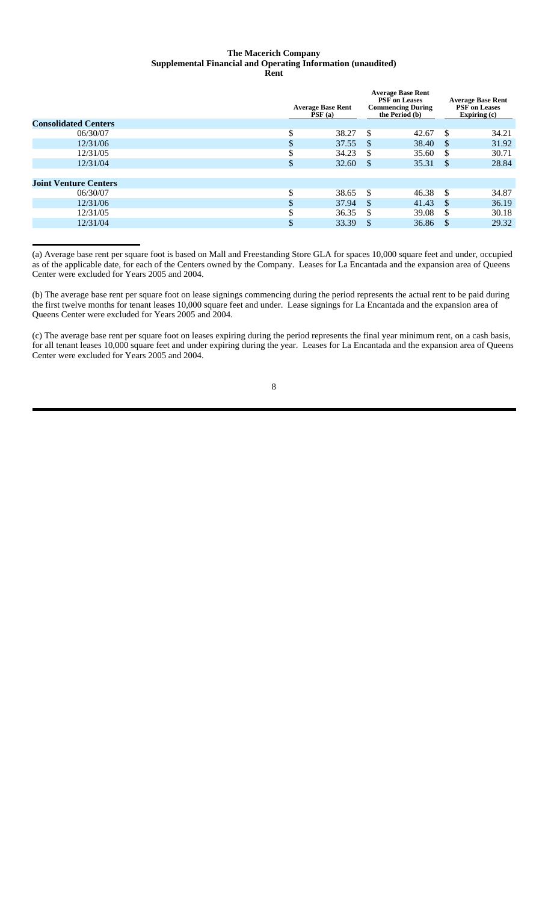### **The Macerich Company Supplemental Financial and Operating Information (unaudited) Rent**

|                              |        | <b>Average Base Rent</b><br>PSF(a) |               | <b>Average Base Rent</b><br><b>PSF</b> on Leases<br><b>Commencing During</b><br>the Period (b) |               | <b>Average Base Rent</b><br><b>PSF</b> on Leases<br>Expiring (c) |
|------------------------------|--------|------------------------------------|---------------|------------------------------------------------------------------------------------------------|---------------|------------------------------------------------------------------|
| <b>Consolidated Centers</b>  |        |                                    |               |                                                                                                |               |                                                                  |
| 06/30/07                     | \$     | 38.27                              | \$.           | 42.67                                                                                          | \$.           | 34.21                                                            |
| 12/31/06                     | \$     | 37.55                              | <sup>\$</sup> | 38.40                                                                                          | <sup>S</sup>  | 31.92                                                            |
| 12/31/05                     | Φ      | 34.23                              | S             | 35.60                                                                                          | S             | 30.71                                                            |
| 12/31/04                     | \$     | 32.60                              | <sup>\$</sup> | 35.31                                                                                          | $\mathbb{S}$  | 28.84                                                            |
|                              |        |                                    |               |                                                                                                |               |                                                                  |
| <b>Joint Venture Centers</b> |        |                                    |               |                                                                                                |               |                                                                  |
| 06/30/07                     | Φ<br>J | 38.65                              | <sup>\$</sup> | 46.38                                                                                          | -S            | 34.87                                                            |
| 12/31/06                     | \$     | 37.94                              | <sup>\$</sup> | 41.43                                                                                          | <sup>\$</sup> | 36.19                                                            |
| 12/31/05                     | \$     | 36.35                              | -S            | 39.08                                                                                          | <sup>\$</sup> | 30.18                                                            |
| 12/31/04                     | \$     | 33.39                              | \$            | 36.86                                                                                          | <sup>\$</sup> | 29.32                                                            |
|                              |        |                                    |               |                                                                                                |               |                                                                  |

(a) Average base rent per square foot is based on Mall and Freestanding Store GLA for spaces 10,000 square feet and under, occupied as of the applicable date, for each of the Centers owned by the Company. Leases for La Encantada and the expansion area of Queens Center were excluded for Years 2005 and 2004.

(b) The average base rent per square foot on lease signings commencing during the period represents the actual rent to be paid during the first twelve months for tenant leases 10,000 square feet and under. Lease signings for La Encantada and the expansion area of Queens Center were excluded for Years 2005 and 2004.

(c) The average base rent per square foot on leases expiring during the period represents the final year minimum rent, on a cash basis, for all tenant leases 10,000 square feet and under expiring during the year. Leases for La Encantada and the expansion area of Queens Center were excluded for Years 2005 and 2004.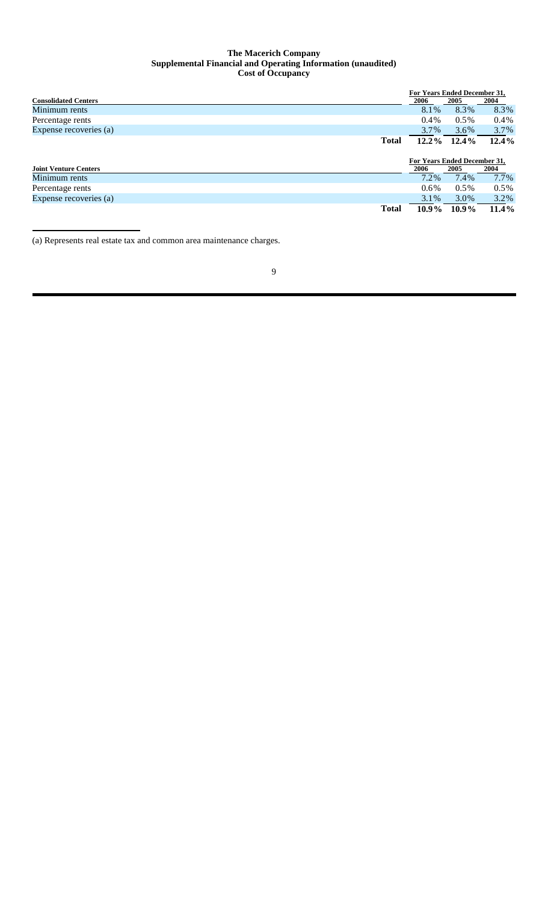### **The Macerich Company Supplemental Financial and Operating Information (unaudited) Cost of Occupancy**

| 2004<br>8.3%                 |
|------------------------------|
|                              |
|                              |
| $0.4\%$                      |
| 3.7%                         |
| $12.4\%$                     |
|                              |
| For Years Ended December 31, |
| 2004                         |
| 7.7%                         |
| $0.5\%$                      |
| $3.2\%$                      |
| 11.4%                        |
|                              |

(a) Represents real estate tax and common area maintenance charges.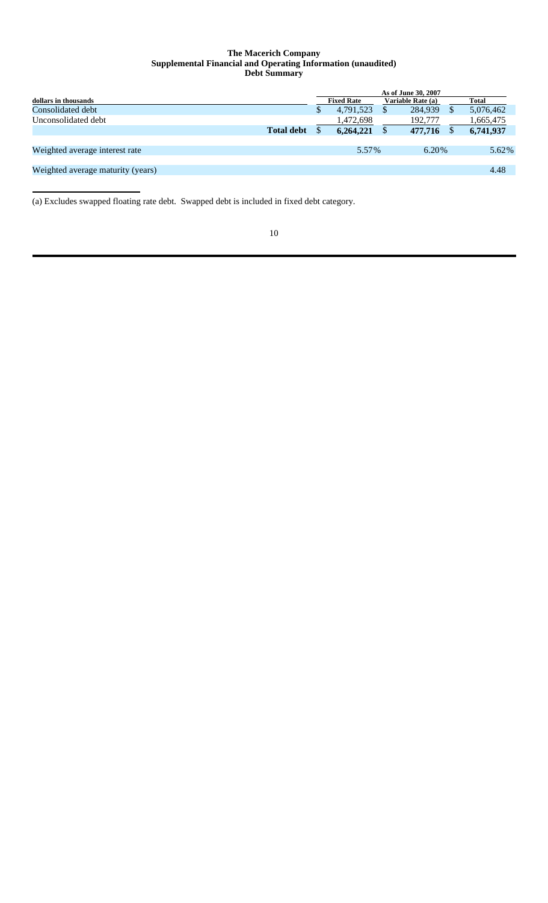### **The Macerich Company Supplemental Financial and Operating Information (unaudited) Debt Summary**

|                                   |                   |   |                   | As of June 30, 2007 |              |
|-----------------------------------|-------------------|---|-------------------|---------------------|--------------|
| dollars in thousands              |                   |   | <b>Fixed Rate</b> | Variable Rate (a)   | <b>Total</b> |
| Consolidated debt                 |                   | Φ | 4,791,523         | 284.939             | 5,076,462    |
| Unconsolidated debt               |                   |   | 1,472,698         | 192,777             | 1,665,475    |
|                                   | <b>Total debt</b> |   | 6,264,221         | 477,716             | 6,741,937    |
|                                   |                   |   |                   |                     |              |
| Weighted average interest rate    |                   |   | 5.57%             | 6.20%               | 5.62%        |
|                                   |                   |   |                   |                     |              |
| Weighted average maturity (years) |                   |   |                   |                     | 4.48         |
|                                   |                   |   |                   |                     |              |

(a) Excludes swapped floating rate debt. Swapped debt is included in fixed debt category.

| I<br>I<br>w<br>٧ |
|------------------|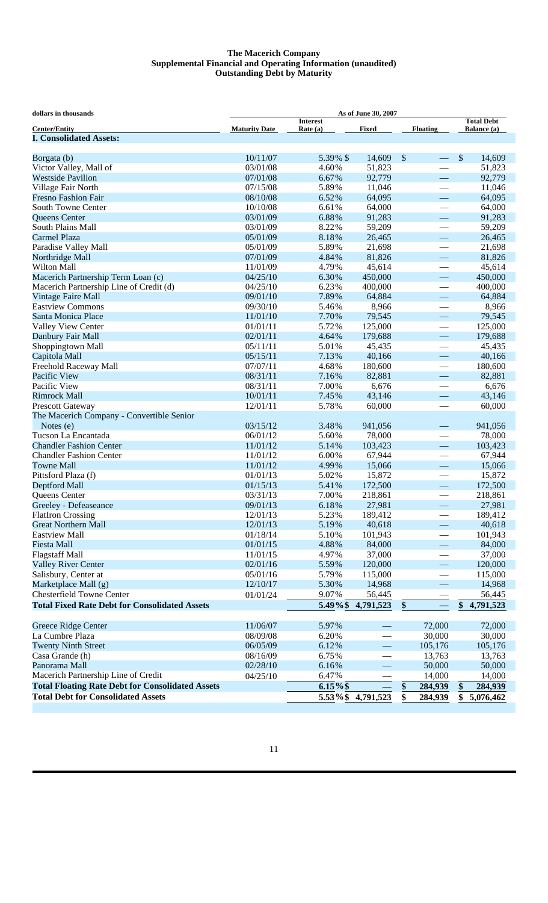### **The Macerich Company Supplemental Financial and Operating Information (unaudited) Outstanding Debt by Maturity**

| dollars in thousands                                    | As of June 30, 2007  |                             |                          |                           |                          |                                  |           |
|---------------------------------------------------------|----------------------|-----------------------------|--------------------------|---------------------------|--------------------------|----------------------------------|-----------|
| <b>Center/Entity</b>                                    | <b>Maturity Date</b> | <b>Interest</b><br>Rate (a) | <b>Fixed</b>             | <b>Floating</b>           |                          | <b>Total Debt</b><br>Balance (a) |           |
| <b>I. Consolidated Assets:</b>                          |                      |                             |                          |                           |                          |                                  |           |
| Borgata (b)                                             | 10/11/07             | 5.39% \$                    | 14,609                   | $\boldsymbol{\mathsf{S}}$ |                          | \$                               | 14,609    |
| Victor Valley, Mall of                                  | 03/01/08             | 4.60%                       | 51,823                   |                           | $\overline{\phantom{0}}$ |                                  | 51,823    |
| <b>Westside Pavilion</b>                                | 07/01/08             | 6.67%                       | 92,779                   |                           | $\overline{\phantom{0}}$ |                                  | 92,779    |
| Village Fair North                                      | 07/15/08             | 5.89%                       | 11,046                   |                           |                          |                                  | 11,046    |
| <b>Fresno Fashion Fair</b>                              | 08/10/08             | 6.52%                       | 64,095                   |                           | $\overline{\phantom{0}}$ |                                  | 64,095    |
| <b>South Towne Center</b>                               | 10/10/08             | 6.61%                       | 64,000                   |                           |                          |                                  | 64,000    |
| <b>Oueens Center</b>                                    | 03/01/09             | 6.88%                       | 91,283                   |                           | $\overline{\phantom{0}}$ |                                  | 91,283    |
| South Plains Mall                                       | 03/01/09             | 8.22%                       | 59,209                   |                           | $\overline{\phantom{0}}$ |                                  | 59,209    |
| Carmel Plaza                                            | 05/01/09             | 8.18%                       | 26,465                   |                           | $\overline{\phantom{m}}$ |                                  | 26,465    |
| Paradise Valley Mall                                    | 05/01/09             | 5.89%                       | 21,698                   |                           |                          |                                  | 21,698    |
| Northridge Mall                                         | 07/01/09             | 4.84%                       | 81,826                   |                           | $\equiv$                 |                                  | 81,826    |
| <b>Wilton Mall</b>                                      | 11/01/09             | 4.79%                       | 45,614                   |                           |                          |                                  | 45,614    |
| Macerich Partnership Term Loan (c)                      | 04/25/10             | 6.30%                       | 450,000                  |                           | $\overline{\phantom{0}}$ |                                  | 450,000   |
| Macerich Partnership Line of Credit (d)                 | 04/25/10             | 6.23%                       | 400,000                  |                           | $\overline{\phantom{0}}$ |                                  | 400,000   |
| Vintage Faire Mall                                      | 09/01/10             | 7.89%                       | 64,884                   |                           |                          |                                  | 64,884    |
| <b>Eastview Commons</b>                                 | 09/30/10             | 5.46%                       | 8,966                    |                           |                          |                                  | 8,966     |
| Santa Monica Place                                      | 11/01/10             | 7.70%                       | 79,545                   |                           |                          |                                  | 79,545    |
| Valley View Center                                      | 01/01/11             | 5.72%                       | 125,000                  |                           |                          |                                  | 125,000   |
| Danbury Fair Mall                                       | 02/01/11             | 4.64%                       | 179,688                  |                           | $\equiv$                 |                                  | 179,688   |
| Shoppingtown Mall                                       | 05/11/11             | 5.01%                       | 45,435                   |                           |                          |                                  | 45,435    |
| Capitola Mall                                           | 05/15/11             | 7.13%                       | 40,166                   |                           | $\overline{\phantom{0}}$ |                                  | 40,166    |
| Freehold Raceway Mall                                   | 07/07/11             | 4.68%                       | 180,600                  |                           | $\overline{\phantom{0}}$ |                                  | 180,600   |
| Pacific View                                            | 08/31/11             | 7.16%                       | 82,881                   |                           |                          |                                  | 82,881    |
| Pacific View                                            | 08/31/11             | 7.00%                       | 6,676                    |                           |                          |                                  | 6,676     |
| <b>Rimrock Mall</b>                                     | 10/01/11             | 7.45%                       | 43,146                   |                           | $\overline{\phantom{0}}$ |                                  | 43,146    |
| <b>Prescott Gateway</b>                                 | 12/01/11             | 5.78%                       | 60,000                   |                           |                          |                                  | 60,000    |
| The Macerich Company - Convertible Senior               |                      |                             |                          |                           |                          |                                  |           |
| Notes $(e)$                                             | 03/15/12             | 3.48%                       | 941,056                  |                           | $\overline{\phantom{0}}$ |                                  | 941,056   |
| Tucson La Encantada                                     | 06/01/12             | 5.60%                       | 78,000                   |                           |                          |                                  | 78,000    |
| <b>Chandler Fashion Center</b>                          | 11/01/12             | 5.14%                       | 103,423                  |                           | $\overline{\phantom{0}}$ |                                  | 103,423   |
| <b>Chandler Fashion Center</b>                          | 11/01/12             | 6.00%                       | 67,944                   |                           |                          |                                  | 67,944    |
| <b>Towne Mall</b>                                       | 11/01/12             | 4.99%                       | 15,066                   |                           | $\overline{\phantom{0}}$ |                                  | 15,066    |
| Pittsford Plaza (f)                                     | 01/01/13             | 5.02%                       | 15,872                   |                           |                          |                                  | 15,872    |
| Deptford Mall                                           | 01/15/13             | 5.41%                       | 172,500                  |                           | $\overline{\phantom{0}}$ |                                  | 172,500   |
| Queens Center                                           | 03/31/13             | 7.00%                       | 218,861                  |                           |                          |                                  | 218,861   |
| Greeley - Defeaseance                                   | 09/01/13             | 6.18%                       | 27,981                   |                           |                          |                                  | 27,981    |
| <b>FlatIron Crossing</b>                                | 12/01/13             | 5.23%                       | 189,412                  |                           | $\overline{\phantom{0}}$ |                                  | 189,412   |
| <b>Great Northern Mall</b>                              | 12/01/13             | 5.19%                       | 40,618                   |                           |                          |                                  | 40,618    |
| <b>Eastview Mall</b>                                    | 01/18/14             | 5.10%                       | 101,943                  |                           | $\overline{\phantom{0}}$ |                                  | 101,943   |
| <b>Fiesta Mall</b>                                      | 01/01/15             | 4.88%                       | 84,000                   |                           | $\overline{\phantom{0}}$ |                                  | 84,000    |
| <b>Flagstaff Mall</b>                                   | 11/01/15             | 4.97%                       | 37,000                   |                           |                          |                                  | 37,000    |
| <b>Valley River Center</b>                              | 02/01/16             | 5.59%                       | 120,000                  |                           | $\overline{\phantom{0}}$ |                                  | 120,000   |
| Salisbury, Center at                                    | 05/01/16             | 5.79%                       | 115,000                  |                           |                          |                                  | 115,000   |
| Marketplace Mall (g)                                    | 12/10/17             | 5.30%                       | 14,968                   |                           | $\overline{\phantom{0}}$ |                                  | 14,968    |
| Chesterfield Towne Center                               | 01/01/24             | 9.07%                       | 56,445                   |                           | $\equiv$                 |                                  | 56,445    |
| <b>Total Fixed Rate Debt for Consolidated Assets</b>    |                      | 5.49%\$                     | 4,791,523                | \$                        |                          | \$                               | 4,791,523 |
|                                                         |                      |                             |                          |                           |                          |                                  |           |
| Greece Ridge Center                                     | 11/06/07             | 5.97%                       |                          |                           | 72,000                   |                                  | 72,000    |
| La Cumbre Plaza                                         | 08/09/08             | 6.20%                       |                          |                           | 30,000                   |                                  | 30,000    |
| <b>Twenty Ninth Street</b>                              | 06/05/09             | 6.12%                       | $\overline{\phantom{0}}$ |                           | 105,176                  |                                  | 105,176   |
| Casa Grande (h)                                         | 08/16/09             | 6.75%                       |                          |                           | 13,763                   |                                  | 13,763    |
| Panorama Mall                                           | 02/28/10             | 6.16%                       | $\overline{\phantom{0}}$ |                           | 50,000                   |                                  | 50,000    |
| Macerich Partnership Line of Credit                     | 04/25/10             | 6.47%                       |                          |                           | 14,000                   |                                  | 14,000    |
| <b>Total Floating Rate Debt for Consolidated Assets</b> |                      | $6.15\%$ \$                 |                          | $\frac{\S}{}$             | 284,939                  | \$                               | 284,939   |
| <b>Total Debt for Consolidated Assets</b>               |                      | 5.53%\$                     | 4,791,523                | \$                        | 284,939                  | \$                               | 5,076,462 |
|                                                         |                      |                             |                          |                           |                          |                                  |           |